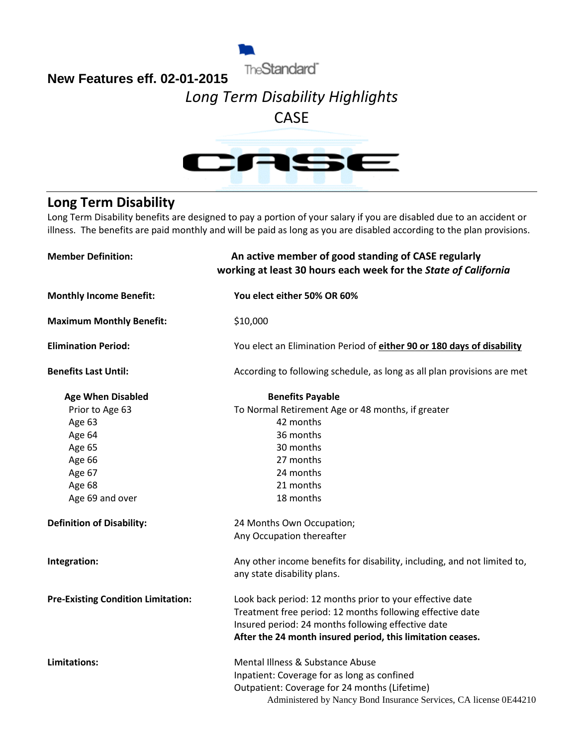

## **New Features eff. 02-01-2015**

# *Long Term Disability Highlights*

# CASE



## **Long Term Disability**

Long Term Disability benefits are designed to pay a portion of your salary if you are disabled due to an accident or illness. The benefits are paid monthly and will be paid as long as you are disabled according to the plan provisions.

| <b>Member Definition:</b>                 | An active member of good standing of CASE regularly<br>working at least 30 hours each week for the State of California |
|-------------------------------------------|------------------------------------------------------------------------------------------------------------------------|
| <b>Monthly Income Benefit:</b>            | You elect either 50% OR 60%                                                                                            |
| <b>Maximum Monthly Benefit:</b>           | \$10,000                                                                                                               |
| <b>Elimination Period:</b>                | You elect an Elimination Period of either 90 or 180 days of disability                                                 |
| <b>Benefits Last Until:</b>               | According to following schedule, as long as all plan provisions are met                                                |
| <b>Age When Disabled</b>                  | <b>Benefits Payable</b>                                                                                                |
| Prior to Age 63                           | To Normal Retirement Age or 48 months, if greater                                                                      |
| Age 63                                    | 42 months                                                                                                              |
| Age 64                                    | 36 months                                                                                                              |
| Age 65                                    | 30 months                                                                                                              |
| Age 66                                    | 27 months                                                                                                              |
| Age 67                                    | 24 months                                                                                                              |
| Age 68                                    | 21 months                                                                                                              |
| Age 69 and over                           | 18 months                                                                                                              |
| <b>Definition of Disability:</b>          | 24 Months Own Occupation;                                                                                              |
|                                           | Any Occupation thereafter                                                                                              |
| Integration:                              | Any other income benefits for disability, including, and not limited to,                                               |
|                                           | any state disability plans.                                                                                            |
| <b>Pre-Existing Condition Limitation:</b> | Look back period: 12 months prior to your effective date                                                               |
|                                           | Treatment free period: 12 months following effective date                                                              |
|                                           | Insured period: 24 months following effective date                                                                     |
|                                           | After the 24 month insured period, this limitation ceases.                                                             |
| <b>Limitations:</b>                       | Mental Illness & Substance Abuse                                                                                       |
|                                           | Inpatient: Coverage for as long as confined                                                                            |
|                                           | Outpatient: Coverage for 24 months (Lifetime)                                                                          |
|                                           | Administered by Nancy Bond Insurance Services, CA license 0E44210                                                      |